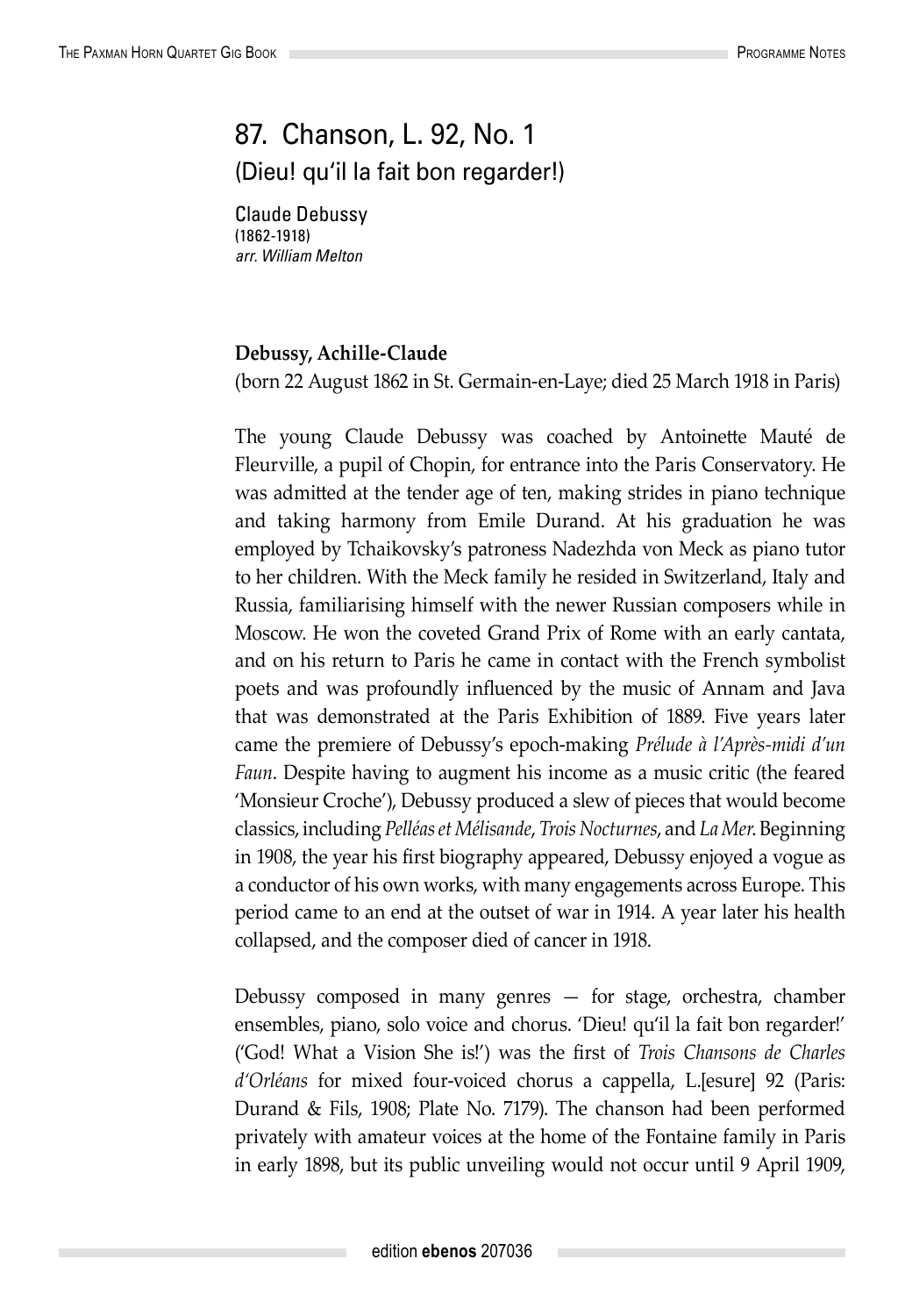## 87. Chanson, L. 92, No. 1 (Dieu! qu'il la fait bon regarder!)

Claude Debussy (1862-1918) *arr. William Melton*

## **Debussy, Achille-Claude**

(born 22 August 1862 in St. Germain-en-Laye; died 25 March 1918 in Paris)

The young Claude Debussy was coached by Antoinette Mauté de Fleurville, a pupil of Chopin, for entrance into the Paris Conservatory. He was admitted at the tender age of ten, making strides in piano technique and taking harmony from Emile Durand. At his graduation he was employed by Tchaikovsky's patroness Nadezhda von Meck as piano tutor to her children. With the Meck family he resided in Switzerland, Italy and Russia, familiarising himself with the newer Russian composers while in Moscow. He won the coveted Grand Prix of Rome with an early cantata, and on his return to Paris he came in contact with the French symbolist poets and was profoundly influenced by the music of Annam and Java that was demonstrated at the Paris Exhibition of 1889. Five years later came the premiere of Debussy's epoch-making *Prélude à l'Après-midi d'un Faun*. Despite having to augment his income as a music critic (the feared 'Monsieur Croche'), Debussy produced a slew of pieces that would become classics, including *Pelléas et Mélisande*, *Trois Nocturnes*, and *La Mer*. Beginning in 1908, the year his first biography appeared, Debussy enjoyed a vogue as a conductor of his own works, with many engagements across Europe. This period came to an end at the outset of war in 1914. A year later his health collapsed, and the composer died of cancer in 1918.

Debussy composed in many genres — for stage, orchestra, chamber ensembles, piano, solo voice and chorus. 'Dieu! qu'il la fait bon regarder!' ('God! What a Vision She is!') was the first of *Trois Chansons de Charles d'Orléans* for mixed four-voiced chorus a cappella, L.[esure] 92 (Paris: Durand & Fils, 1908; Plate No. 7179). The chanson had been performed privately with amateur voices at the home of the Fontaine family in Paris in early 1898, but its public unveiling would not occur until 9 April 1909,